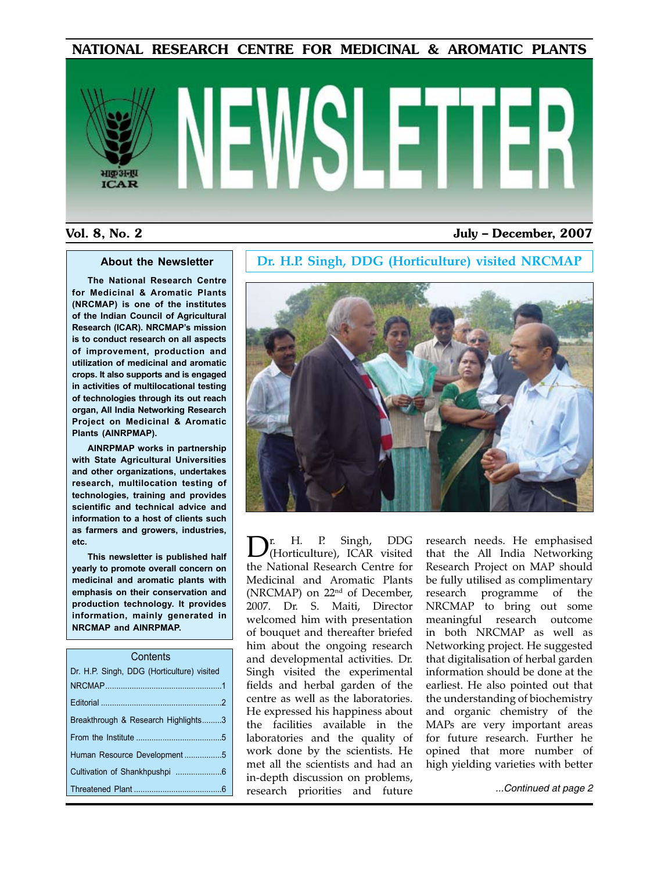#### NATIONAL RESEARCH CENTRE FOR MEDICINAL & AROMATIC PLANTS

# $ICAD$

#### Vol. 8, No. 2 July – December, 2007

#### **About the Newsletter**

**The National Research Centre for Medicinal & Aromatic Plants (NRCMAP) is one of the institutes of the Indian Council of Agricultural Research (ICAR). NRCMAP's mission is to conduct research on all aspects of improvement, production and utilization of medicinal and aromatic crops. It also supports and is engaged in activities of multilocational testing of technologies through its out reach organ, All India Networking Research Project on Medicinal & Aromatic Plants (AINRPMAP).**

**AINRPMAP works in partnership with State Agricultural Universities and other organizations, undertakes research, multilocation testing of technologies, training and provides scientific and technical advice and information to a host of clients such as farmers and growers, industries, etc.**

**This newsletter is published half yearly to promote overall concern on medicinal and aromatic plants with emphasis on their conservation and production technology. It provides information, mainly generated in NRCMAP and AINRPMAP.**

| Contents                                   |
|--------------------------------------------|
| Dr. H.P. Singh, DDG (Horticulture) visited |
|                                            |
|                                            |
| Breakthrough & Research Highlights3        |
|                                            |
| Human Resource Development5                |
|                                            |
|                                            |

#### **Dr. H.P. Singh, DDG (Horticulture) visited NRCMAP**



Dr. H. P. Singh, DDG (Horticulture), ICAR visited the National Research Centre for Medicinal and Aromatic Plants (NRCMAP) on 22nd of December, 2007. Dr. S. Maiti, Director welcomed him with presentation of bouquet and thereafter briefed him about the ongoing research and developmental activities. Dr. Singh visited the experimental fields and herbal garden of the centre as well as the laboratories. He expressed his happiness about the facilities available in the laboratories and the quality of work done by the scientists. He met all the scientists and had an in-depth discussion on problems, research priorities and future

research needs. He emphasised that the All India Networking Research Project on MAP should be fully utilised as complimentary research programme of the NRCMAP to bring out some meaningful research outcome in both NRCMAP as well as Networking project. He suggested that digitalisation of herbal garden information should be done at the earliest. He also pointed out that the understanding of biochemistry and organic chemistry of the MAPs are very important areas for future research. Further he opined that more number of high yielding varieties with better

*...Continued at page 2*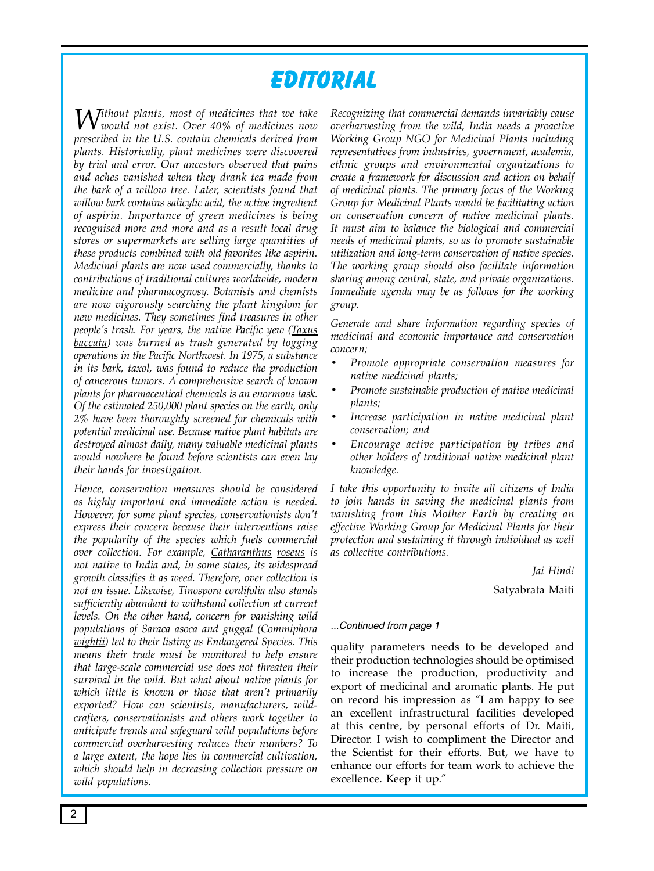# **Editorial**

*Without plants, most of medicines that we take would not exist. Over 40% of medicines now prescribed in the U.S. contain chemicals derived from plants. Historically, plant medicines were discovered by trial and error. Our ancestors observed that pains and aches vanished when they drank tea made from the bark of a willow tree. Later, scientists found that willow bark contains salicylic acid, the active ingredient of aspirin. Importance of green medicines is being recognised more and more and as a result local drug stores or supermarkets are selling large quantities of these products combined with old favorites like aspirin. Medicinal plants are now used commercially, thanks to contributions of traditional cultures worldwide, modern medicine and pharmacognosy. Botanists and chemists are now vigorously searching the plant kingdom for new medicines. They sometimes find treasures in other people's trash. For years, the native Pacific yew (Taxus baccata) was burned as trash generated by logging operations in the Pacific Northwest. In 1975, a substance in its bark, taxol, was found to reduce the production of cancerous tumors. A comprehensive search of known plants for pharmaceutical chemicals is an enormous task. Of the estimated 250,000 plant species on the earth, only 2% have been thoroughly screened for chemicals with potential medicinal use. Because native plant habitats are destroyed almost daily, many valuable medicinal plants would nowhere be found before scientists can even lay their hands for investigation.* 

*Hence, conservation measures should be considered as highly important and immediate action is needed. However, for some plant species, conservationists don't express their concern because their interventions raise the popularity of the species which fuels commercial over collection. For example, Catharanthus roseus is not native to India and, in some states, its widespread growth classifies it as weed. Therefore, over collection is not an issue. Likewise, Tinospora cordifolia also stands sufficiently abundant to withstand collection at current levels. On the other hand, concern for vanishing wild populations of Saraca asoca and guggal (Commiphora wightii) led to their listing as Endangered Species. This means their trade must be monitored to help ensure that large-scale commercial use does not threaten their survival in the wild. But what about native plants for which little is known or those that aren't primarily exported? How can scientists, manufacturers, wildcrafters, conservationists and others work together to anticipate trends and safeguard wild populations before commercial overharvesting reduces their numbers? To a large extent, the hope lies in commercial cultivation, which should help in decreasing collection pressure on wild populations.* 

*Recognizing that commercial demands invariably cause overharvesting from the wild, India needs a proactive Working Group NGO for Medicinal Plants including representatives from industries, government, academia, ethnic groups and environmental organizations to create a framework for discussion and action on behalf of medicinal plants. The primary focus of the Working Group for Medicinal Plants would be facilitating action on conservation concern of native medicinal plants. It must aim to balance the biological and commercial needs of medicinal plants, so as to promote sustainable utilization and long-term conservation of native species. The working group should also facilitate information sharing among central, state, and private organizations. Immediate agenda may be as follows for the working group.* 

*Generate and share information regarding species of medicinal and economic importance and conservation concern;* 

- *• Promote appropriate conservation measures for native medicinal plants;*
- *Promote sustainable production of native medicinal plants;*
- Increase participation in native medicinal plant *conservation; and*
- Encourage active participation by tribes and *other holders of traditional native medicinal plant knowledge.*

*I take this opportunity to invite all citizens of India to join hands in saving the medicinal plants from vanishing from this Mother Earth by creating an effective Working Group for Medicinal Plants for their protection and sustaining it through individual as well as collective contributions.* 

*Jai Hind!*

Satyabrata Maiti

#### *...Continued from page 1*

quality parameters needs to be developed and their production technologies should be optimised to increase the production, productivity and export of medicinal and aromatic plants. He put on record his impression as "I am happy to see an excellent infrastructural facilities developed at this centre, by personal efforts of Dr. Maiti, Director. I wish to compliment the Director and the Scientist for their efforts. But, we have to enhance our efforts for team work to achieve the excellence. Keep it up."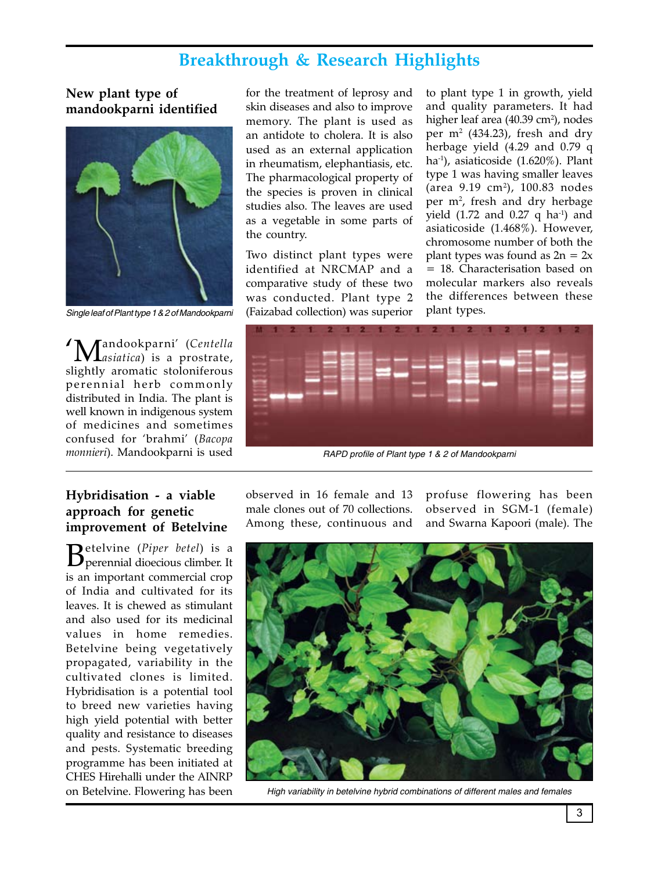# **Breakthrough & Research Highlights**

#### **New plant type of mandookparni identified**



*Single leaf of Plant type 1 & 2 of Mandookparni*

'Mandookparni' (*Centella asiatica*) is a prostrate, slightly aromatic stoloniferous perennial herb commonly distributed in India. The plant is well known in indigenous system of medicines and sometimes confused for 'brahmi' (*Bacopa monnieri*). Mandookparni is used

for the treatment of leprosy and skin diseases and also to improve memory. The plant is used as an antidote to cholera. It is also used as an external application in rheumatism, elephantiasis, etc. The pharmacological property of the species is proven in clinical studies also. The leaves are used as a vegetable in some parts of the country.

Two distinct plant types were identified at NRCMAP and a comparative study of these two was conducted. Plant type 2 (Faizabad collection) was superior

to plant type 1 in growth, yield and quality parameters. It had higher leaf area (40.39 cm<sup>2</sup>), nodes per  $m^2$  (434.23), fresh and dry herbage yield (4.29 and 0.79 q ha-1), asiaticoside (1.620%). Plant type 1 was having smaller leaves (area 9.19 cm2 ), 100.83 nodes per m2 , fresh and dry herbage yield (1.72 and 0.27  $q$  ha<sup>-1</sup>) and asiaticoside (1.468%). However, chromosome number of both the plant types was found as  $2n = 2x$ = 18. Characterisation based on molecular markers also reveals the differences between these plant types.



RAPD profile of Plant type 1 & 2 of Mandookparni

#### **Hybridisation - a viable approach for genetic improvement of Betelvine**

Betelvine (*Piper betel*) is a perennial dioecious climber. It is an important commercial crop of India and cultivated for its leaves. It is chewed as stimulant and also used for its medicinal values in home remedies. Betelvine being vegetatively propagated, variability in the cultivated clones is limited. Hybridisation is a potential tool to breed new varieties having high yield potential with better quality and resistance to diseases and pests. Systematic breeding programme has been initiated at CHES Hirehalli under the AINRP on Betelvine. Flowering has been

observed in 16 female and 13 male clones out of 70 collections. Among these, continuous and

profuse flowering has been observed in SGM-1 (female) and Swarna Kapoori (male). The



*High variability in betelvine hybrid combinations of different males and females*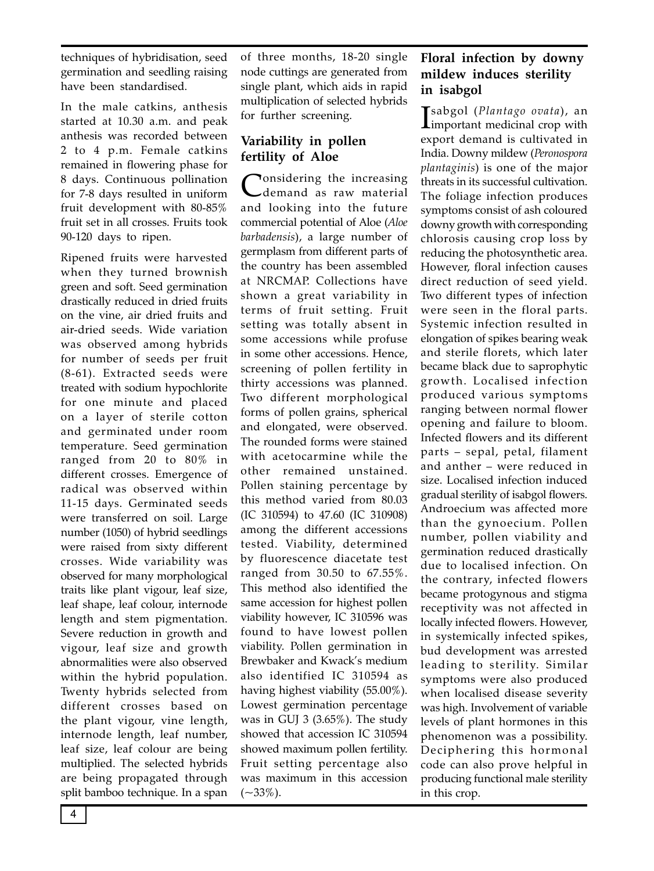techniques of hybridisation, seed germination and seedling raising have been standardised.

In the male catkins, anthesis started at 10.30 a.m. and peak anthesis was recorded between 2 to 4 p.m. Female catkins remained in flowering phase for 8 days. Continuous pollination for 7-8 days resulted in uniform fruit development with 80-85% fruit set in all crosses. Fruits took 90-120 days to ripen.

Ripened fruits were harvested when they turned brownish green and soft. Seed germination drastically reduced in dried fruits on the vine, air dried fruits and air-dried seeds. Wide variation was observed among hybrids for number of seeds per fruit (8-61). Extracted seeds were treated with sodium hypochlorite for one minute and placed on a layer of sterile cotton and germinated under room temperature. Seed germination ranged from 20 to 80% in different crosses. Emergence of radical was observed within 11-15 days. Germinated seeds were transferred on soil. Large number (1050) of hybrid seedlings were raised from sixty different crosses. Wide variability was observed for many morphological traits like plant vigour, leaf size, leaf shape, leaf colour, internode length and stem pigmentation. Severe reduction in growth and vigour, leaf size and growth abnormalities were also observed within the hybrid population. Twenty hybrids selected from different crosses based on the plant vigour, vine length, internode length, leaf number, leaf size, leaf colour are being multiplied. The selected hybrids are being propagated through split bamboo technique. In a span of three months, 18-20 single node cuttings are generated from single plant, which aids in rapid multiplication of selected hybrids for further screening.

#### **Variability in pollen fertility of Aloe**

Tonsidering the increasing demand as raw material and looking into the future commercial potential of Aloe (*Aloe barbadensis*), a large number of germplasm from different parts of the country has been assembled at NRCMAP. Collections have shown a great variability in terms of fruit setting. Fruit setting was totally absent in some accessions while profuse in some other accessions. Hence, screening of pollen fertility in thirty accessions was planned. Two different morphological forms of pollen grains, spherical and elongated, were observed. The rounded forms were stained with acetocarmine while the other remained unstained. Pollen staining percentage by this method varied from 80.03 (IC 310594) to 47.60 (IC 310908) among the different accessions tested. Viability, determined by fluorescence diacetate test ranged from 30.50 to 67.55%. This method also identified the same accession for highest pollen viability however, IC 310596 was found to have lowest pollen viability. Pollen germination in Brewbaker and Kwack's medium also identified IC 310594 as having highest viability (55.00%). Lowest germination percentage was in GUJ 3 (3.65%). The study showed that accession IC 310594 showed maximum pollen fertility. Fruit setting percentage also was maximum in this accession  $(-33\%).$ 

### **Floral infection by downy mildew induces sterility in isabgol**

I sabgol (*Plantago ovata*), an  $\mathbf{L}$ important medicinal crop with export demand is cultivated in India. Downy mildew (*Peronospora plantaginis*) is one of the major threats in its successful cultivation. The foliage infection produces symptoms consist of ash coloured downy growth with corresponding chlorosis causing crop loss by reducing the photosynthetic area. However, floral infection causes direct reduction of seed yield. Two different types of infection were seen in the floral parts. Systemic infection resulted in elongation of spikes bearing weak and sterile florets, which later became black due to saprophytic growth. Localised infection produced various symptoms ranging between normal flower opening and failure to bloom. Infected flowers and its different parts – sepal, petal, filament and anther – were reduced in size. Localised infection induced gradual sterility of isabgol flowers. Androecium was affected more than the gynoecium. Pollen number, pollen viability and germination reduced drastically due to localised infection. On the contrary, infected flowers became protogynous and stigma receptivity was not affected in locally infected flowers. However, in systemically infected spikes, bud development was arrested leading to sterility. Similar symptoms were also produced when localised disease severity was high. Involvement of variable levels of plant hormones in this phenomenon was a possibility. Deciphering this hormonal code can also prove helpful in producing functional male sterility in this crop.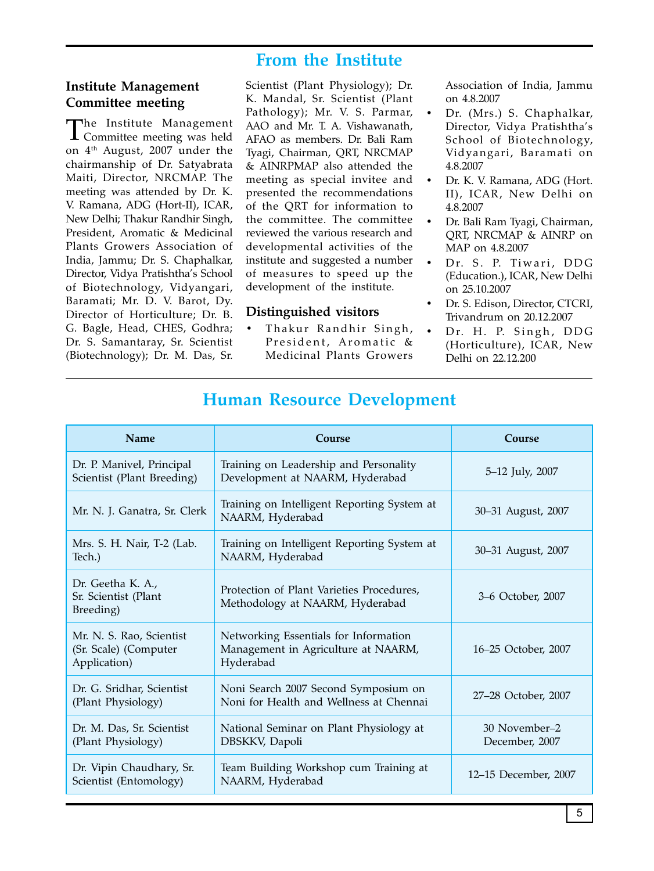## **From the Institute**

#### **Institute Management Committee meeting**

The Institute Management Committee meeting was held on 4<sup>th</sup> August, 2007 under the chairmanship of Dr. Satyabrata Maiti, Director, NRCMAP. The meeting was attended by Dr. K. V. Ramana, ADG (Hort-II), ICAR, New Delhi; Thakur Randhir Singh, President, Aromatic & Medicinal Plants Growers Association of India, Jammu; Dr. S. Chaphalkar, Director, Vidya Pratishtha's School of Biotechnology, Vidyangari, Baramati; Mr. D. V. Barot, Dy. Director of Horticulture; Dr. B. G. Bagle, Head, CHES, Godhra; Dr. S. Samantaray, Sr. Scientist (Biotechnology); Dr. M. Das, Sr.

Scientist (Plant Physiology); Dr. K. Mandal, Sr. Scientist (Plant Pathology); Mr. V. S. Parmar, AAO and Mr. T. A. Vishawanath, AFAO as members. Dr. Bali Ram Tyagi, Chairman, QRT, NRCMAP & AINRPMAP also attended the meeting as special invitee and presented the recommendations of the QRT for information to the committee. The committee reviewed the various research and developmental activities of the institute and suggested a number of measures to speed up the development of the institute.

#### **Distinguished visitors**

Thakur Randhir Singh, President, Aromatic & Medicinal Plants Growers

Association of India, Jammu on 4.8.2007

- Dr. (Mrs.) S. Chaphalkar, Director, Vidya Pratishtha's School of Biotechnology, Vidyangari, Baramati on 4.8.2007
- Dr. K. V. Ramana, ADG (Hort. II), ICAR, New Delhi on 4.8.2007
- Dr. Bali Ram Tyagi, Chairman, QRT, NRCMAP & AINRP on MAP on 4.8.2007
- Dr. S. P. Tiwari, DDG (Education.), ICAR, New Delhi on 25.10.2007
- Dr. S. Edison, Director, CTCRI, Trivandrum on 20.12.2007
- Dr. H. P. Singh, DDG (Horticulture), ICAR, New Delhi on 22.12.200

| <b>Name</b>                                                       | Course                                                                                    | Course                          |
|-------------------------------------------------------------------|-------------------------------------------------------------------------------------------|---------------------------------|
| Dr. P. Manivel, Principal<br>Scientist (Plant Breeding)           | Training on Leadership and Personality<br>Development at NAARM, Hyderabad                 | 5-12 July, 2007                 |
| Mr. N. J. Ganatra, Sr. Clerk                                      | Training on Intelligent Reporting System at<br>NAARM, Hyderabad                           | 30–31 August, 2007              |
| Mrs. S. H. Nair, T-2 (Lab.<br>Tech.)                              | Training on Intelligent Reporting System at<br>NAARM, Hyderabad                           | 30-31 August, 2007              |
| Dr. Geetha K. A.,<br>Sr. Scientist (Plant<br>Breeding)            | Protection of Plant Varieties Procedures,<br>Methodology at NAARM, Hyderabad              | 3-6 October, 2007               |
| Mr. N. S. Rao, Scientist<br>(Sr. Scale) (Computer<br>Application) | Networking Essentials for Information<br>Management in Agriculture at NAARM,<br>Hyderabad | 16–25 October, 2007             |
| Dr. G. Sridhar, Scientist<br>(Plant Physiology)                   | Noni Search 2007 Second Symposium on<br>Noni for Health and Wellness at Chennai           | 27–28 October, 2007             |
| Dr. M. Das, Sr. Scientist<br>(Plant Physiology)                   | National Seminar on Plant Physiology at<br>DBSKKV, Dapoli                                 | 30 November–2<br>December, 2007 |
| Dr. Vipin Chaudhary, Sr.<br>Scientist (Entomology)                | Team Building Workshop cum Training at<br>NAARM, Hyderabad                                | 12–15 December, 2007            |

# **Human Resource Development**